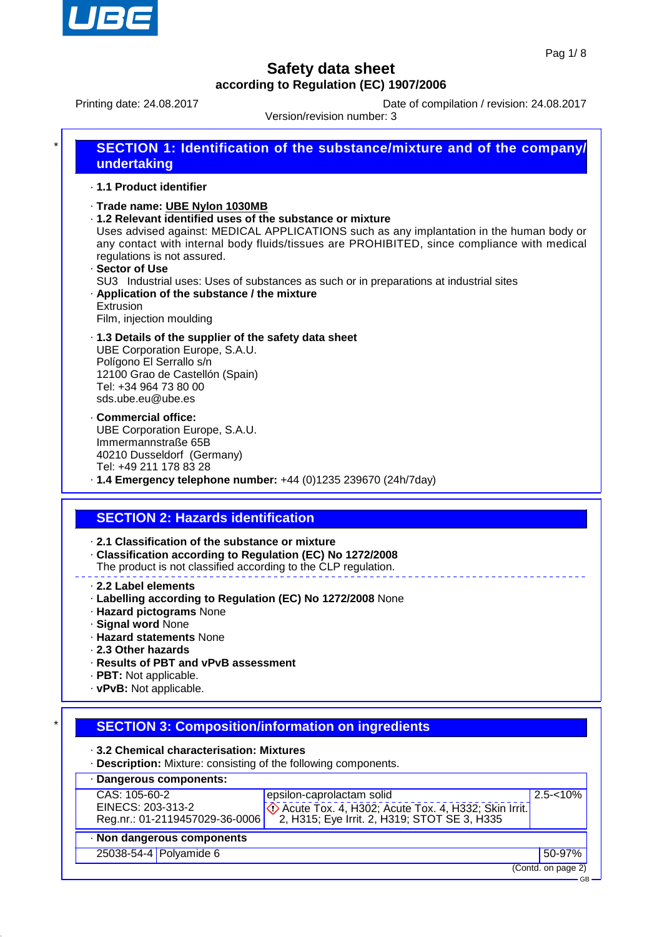

Printing date: 24.08.2017 Date of compilation / revision: 24.08.2017

Version/revision number: 3

| *                                                                                          | <b>SECTION 1: Identification of the substance/mixture and of the company/</b><br>undertaking                                                                                                                                                                                                                                                                                                                                                                                                                                 |  |  |  |
|--------------------------------------------------------------------------------------------|------------------------------------------------------------------------------------------------------------------------------------------------------------------------------------------------------------------------------------------------------------------------------------------------------------------------------------------------------------------------------------------------------------------------------------------------------------------------------------------------------------------------------|--|--|--|
|                                                                                            | .1.1 Product identifier                                                                                                                                                                                                                                                                                                                                                                                                                                                                                                      |  |  |  |
|                                                                                            | · Trade name: UBE Nylon 1030MB<br>· 1.2 Relevant identified uses of the substance or mixture<br>Uses advised against: MEDICAL APPLICATIONS such as any implantation in the human body or<br>any contact with internal body fluids/tissues are PROHIBITED, since compliance with medical<br>regulations is not assured.<br>· Sector of Use<br>SU3 Industrial uses: Uses of substances as such or in preparations at industrial sites<br>. Application of the substance / the mixture<br>Extrusion<br>Film, injection moulding |  |  |  |
|                                                                                            | .1.3 Details of the supplier of the safety data sheet<br>UBE Corporation Europe, S.A.U.<br>Polígono El Serrallo s/n<br>12100 Grao de Castellón (Spain)<br>Tel: +34 964 73 80 00<br>sds.ube.eu@ube.es                                                                                                                                                                                                                                                                                                                         |  |  |  |
|                                                                                            | · Commercial office:<br>UBE Corporation Europe, S.A.U.<br>Immermannstraße 65B<br>40210 Dusseldorf (Germany)<br>Tel: +49 211 178 83 28<br>$\cdot$ 1.4 Emergency telephone number: +44 (0)1235 239670 (24h/7day)                                                                                                                                                                                                                                                                                                               |  |  |  |
|                                                                                            | <b>SECTION 2: Hazards identification</b>                                                                                                                                                                                                                                                                                                                                                                                                                                                                                     |  |  |  |
|                                                                                            | 2.1 Classification of the substance or mixture<br>· Classification according to Regulation (EC) No 1272/2008<br>The product is not classified according to the CLP regulation.                                                                                                                                                                                                                                                                                                                                               |  |  |  |
|                                                                                            | 2.2 Label elements<br>· Labelling according to Regulation (EC) No 1272/2008 None<br>· Hazard pictograms None<br>· Signal word None<br>· Hazard statements None<br>2.3 Other hazards<br>· Results of PBT and vPvB assessment                                                                                                                                                                                                                                                                                                  |  |  |  |
|                                                                                            | · PBT: Not applicable.<br>· vPvB: Not applicable.                                                                                                                                                                                                                                                                                                                                                                                                                                                                            |  |  |  |
|                                                                                            | <b>SECTION 3: Composition/information on ingredients</b>                                                                                                                                                                                                                                                                                                                                                                                                                                                                     |  |  |  |
| 3.2 Chemical characterisation: Mixtures                                                    |                                                                                                                                                                                                                                                                                                                                                                                                                                                                                                                              |  |  |  |
| . Description: Mixture: consisting of the following components.<br>· Dangerous components: |                                                                                                                                                                                                                                                                                                                                                                                                                                                                                                                              |  |  |  |
|                                                                                            | CAS: 105-60-2<br>$2.5 - 10%$<br>epsilon-caprolactam solid<br>EINECS: 203-313-2<br>♦ Acute Tox. 4, H302; Acute Tox. 4, H332; Skin Irrit.<br>2, H315; Eye Irrit. 2, H319; STOT SE 3, H335<br>Reg.nr.: 01-2119457029-36-0006                                                                                                                                                                                                                                                                                                    |  |  |  |
|                                                                                            | · Non dangerous components                                                                                                                                                                                                                                                                                                                                                                                                                                                                                                   |  |  |  |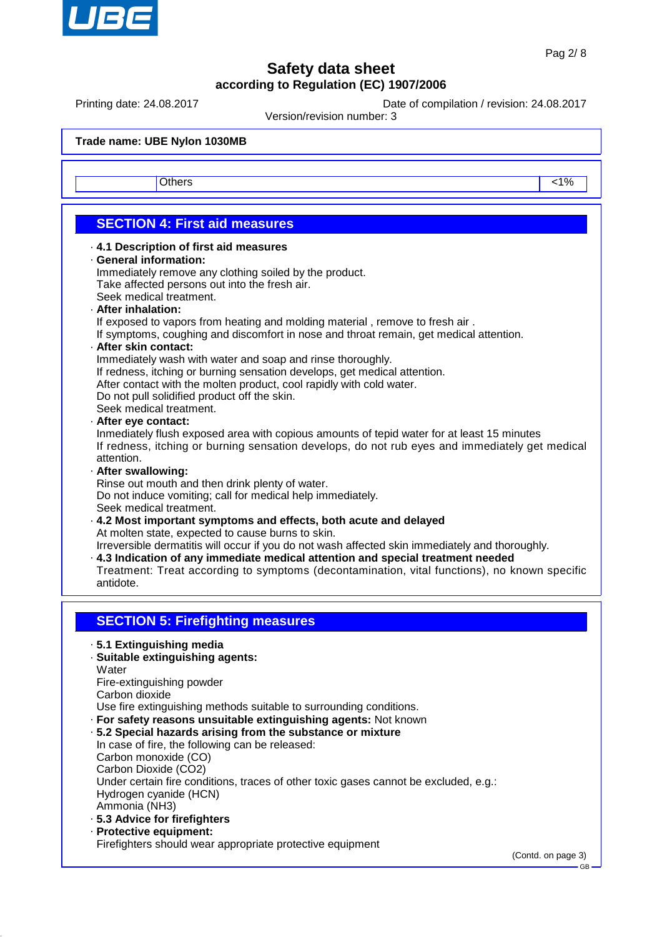

Printing date: 24.08.2017 Date of compilation / revision: 24.08.2017

Version/revision number: 3

**Trade name: UBE Nylon 1030MB** Others and the contract of the contract of the contract of the contract of the contract of the contract of the contract of the contract of the contract of the contract of the contract of the contract of the contract of the **SECTION 4: First aid measures** · **4.1 Description of first aid measures** · **General information:** Immediately remove any clothing soiled by the product. Take affected persons out into the fresh air. Seek medical treatment. · **After inhalation:** If exposed to vapors from heating and molding material , remove to fresh air . If symptoms, coughing and discomfort in nose and throat remain, get medical attention. · **After skin contact:** Immediately wash with water and soap and rinse thoroughly. If redness, itching or burning sensation develops, get medical attention. After contact with the molten product, cool rapidly with cold water. Do not pull solidified product off the skin. Seek medical treatment. · **After eye contact:** Inmediately flush exposed area with copious amounts of tepid water for at least 15 minutes If redness, itching or burning sensation develops, do not rub eyes and immediately get medical attention. · **After swallowing:** Rinse out mouth and then drink plenty of water. Do not induce vomiting; call for medical help immediately. Seek medical treatment. · **4.2 Most important symptoms and effects, both acute and delayed** At molten state, expected to cause burns to skin. Irreversible dermatitis will occur if you do not wash affected skin immediately and thoroughly. · **4.3 Indication of any immediate medical attention and special treatment needed** Treatment: Treat according to symptoms (decontamination, vital functions), no known specific antidote. **SECTION 5: Firefighting measures** · **5.1 Extinguishing media** · **Suitable extinguishing agents: Water** Fire-extinguishing powder Carbon dioxide Use fire extinguishing methods suitable to surrounding conditions. · **For safety reasons unsuitable extinguishing agents:** Not known · **5.2 Special hazards arising from the substance or mixture** In case of fire, the following can be released: Carbon monoxide (CO) Carbon Dioxide (CO2) Under certain fire conditions, traces of other toxic gases cannot be excluded, e.g.: Hydrogen cyanide (HCN) Ammonia (NH3) · **5.3 Advice for firefighters** · **Protective equipment:** Firefighters should wear appropriate protective equipment (Contd. on page 3) GB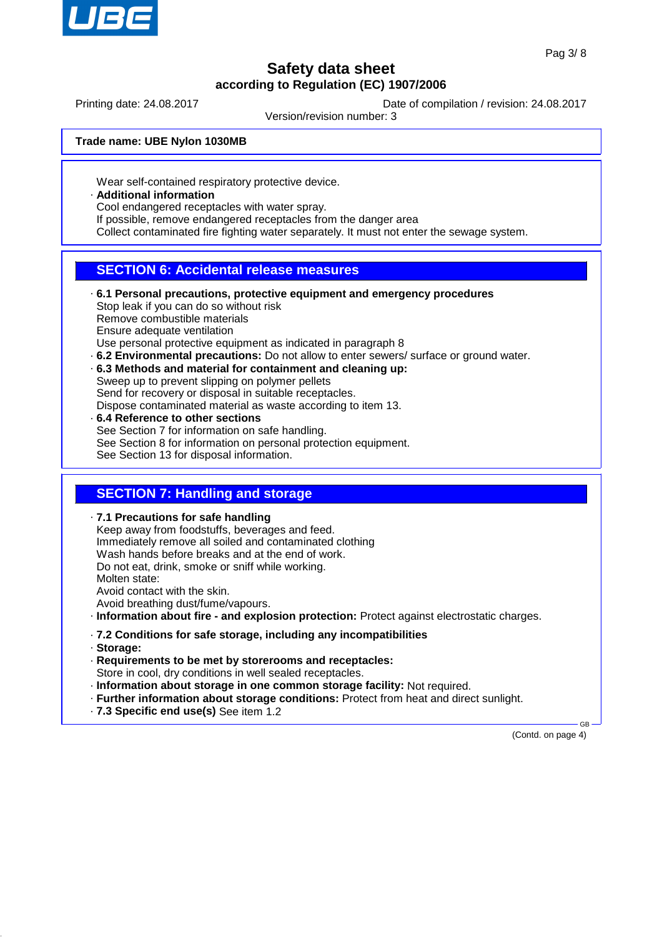

Printing date: 24.08.2017 Date of compilation / revision: 24.08.2017

Version/revision number: 3

#### **Trade name: UBE Nylon 1030MB**

Wear self-contained respiratory protective device.

· **Additional information**

Cool endangered receptacles with water spray.

If possible, remove endangered receptacles from the danger area

Collect contaminated fire fighting water separately. It must not enter the sewage system.

## **SECTION 6: Accidental release measures**

· **6.1 Personal precautions, protective equipment and emergency procedures** Stop leak if you can do so without risk Remove combustible materials Ensure adequate ventilation Use personal protective equipment as indicated in paragraph 8 · **6.2 Environmental precautions:** Do not allow to enter sewers/ surface or ground water. · **6.3 Methods and material for containment and cleaning up:** Sweep up to prevent slipping on polymer pellets

Send for recovery or disposal in suitable receptacles.

Dispose contaminated material as waste according to item 13.

· **6.4 Reference to other sections** See Section 7 for information on safe handling. See Section 8 for information on personal protection equipment. See Section 13 for disposal information.

## **SECTION 7: Handling and storage**

· **7.1 Precautions for safe handling** Keep away from foodstuffs, beverages and feed. Immediately remove all soiled and contaminated clothing Wash hands before breaks and at the end of work. Do not eat, drink, smoke or sniff while working. Molten state: Avoid contact with the skin. Avoid breathing dust/fume/vapours. · **Information about fire - and explosion protection:** Protect against electrostatic charges.

- · **7.2 Conditions for safe storage, including any incompatibilities**
- · **Storage:**
- · **Requirements to be met by storerooms and receptacles:** Store in cool, dry conditions in well sealed receptacles.
- · **Information about storage in one common storage facility:** Not required.
- · **Further information about storage conditions:** Protect from heat and direct sunlight.
- · **7.3 Specific end use(s)** See item 1.2

(Contd. on page 4)

GB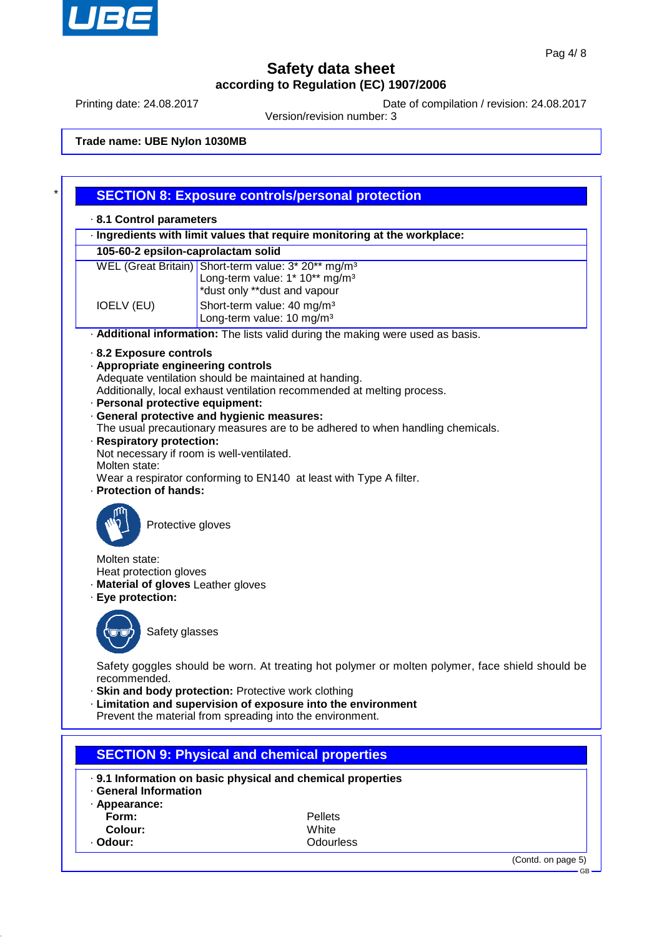

Printing date: 24.08.2017 Date of compilation / revision: 24.08.2017

Version/revision number: 3

## **Trade name: UBE Nylon 1030MB**

|                                                                                                                                   | <b>SECTION 8: Exposure controls/personal protection</b>                                                                                                                                                                                                                                                                                                                                                                    |  |  |  |  |
|-----------------------------------------------------------------------------------------------------------------------------------|----------------------------------------------------------------------------------------------------------------------------------------------------------------------------------------------------------------------------------------------------------------------------------------------------------------------------------------------------------------------------------------------------------------------------|--|--|--|--|
| 8.1 Control parameters                                                                                                            |                                                                                                                                                                                                                                                                                                                                                                                                                            |  |  |  |  |
|                                                                                                                                   | · Ingredients with limit values that require monitoring at the workplace:                                                                                                                                                                                                                                                                                                                                                  |  |  |  |  |
|                                                                                                                                   | 105-60-2 epsilon-caprolactam solid                                                                                                                                                                                                                                                                                                                                                                                         |  |  |  |  |
| <b>IOELV (EU)</b>                                                                                                                 | WEL (Great Britain) Short-term value: 3* 20** mg/m <sup>3</sup><br>Long-term value: 1* 10** mg/m <sup>3</sup><br>*dust only **dust and vapour<br>Short-term value: 40 mg/m <sup>3</sup><br>Long-term value: 10 mg/m <sup>3</sup>                                                                                                                                                                                           |  |  |  |  |
|                                                                                                                                   | . Additional information: The lists valid during the making were used as basis.                                                                                                                                                                                                                                                                                                                                            |  |  |  |  |
| 8.2 Exposure controls<br>· Personal protective equipment:<br>· Respiratory protection:<br>Molten state:<br>· Protection of hands: | · Appropriate engineering controls<br>Adequate ventilation should be maintained at handing.<br>Additionally, local exhaust ventilation recommended at melting process.<br>· General protective and hygienic measures:<br>The usual precautionary measures are to be adhered to when handling chemicals.<br>Not necessary if room is well-ventilated.<br>Wear a respirator conforming to EN140 at least with Type A filter. |  |  |  |  |
| Molten state:<br>Heat protection gloves<br>· Material of gloves Leather gloves                                                    | Protective gloves                                                                                                                                                                                                                                                                                                                                                                                                          |  |  |  |  |
| · Eye protection:                                                                                                                 | Safety glasses                                                                                                                                                                                                                                                                                                                                                                                                             |  |  |  |  |
| recommended.                                                                                                                      | Safety goggles should be worn. At treating hot polymer or molten polymer, face shield should be<br>· Skin and body protection: Protective work clothing<br>· Limitation and supervision of exposure into the environment<br>Prevent the material from spreading into the environment.                                                                                                                                      |  |  |  |  |
|                                                                                                                                   | <b>SECTION 9: Physical and chemical properties</b>                                                                                                                                                                                                                                                                                                                                                                         |  |  |  |  |
| · General Information                                                                                                             | . 9.1 Information on basic physical and chemical properties                                                                                                                                                                                                                                                                                                                                                                |  |  |  |  |
| · Appearance:<br>Form:<br>Colour:                                                                                                 | Pellets<br>White                                                                                                                                                                                                                                                                                                                                                                                                           |  |  |  |  |

· **Odour:** Odourless

GB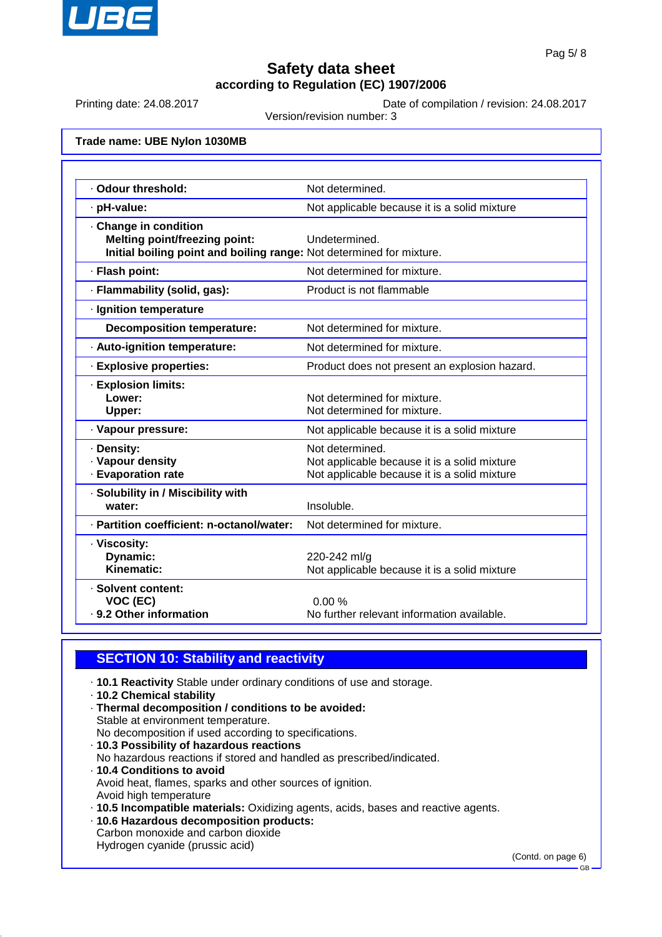

Printing date: 24.08.2017 Date of compilation / revision: 24.08.2017

Version/revision number: 3

**Trade name: UBE Nylon 1030MB**

| · Odour threshold:                                                                                                                    | Not determined.                                                                                                 |
|---------------------------------------------------------------------------------------------------------------------------------------|-----------------------------------------------------------------------------------------------------------------|
| · pH-value:                                                                                                                           | Not applicable because it is a solid mixture                                                                    |
| . Change in condition<br><b>Melting point/freezing point:</b><br>Initial boiling point and boiling range: Not determined for mixture. | Undetermined.                                                                                                   |
| · Flash point:                                                                                                                        | Not determined for mixture.                                                                                     |
| · Flammability (solid, gas):                                                                                                          | Product is not flammable                                                                                        |
| · Ignition temperature                                                                                                                |                                                                                                                 |
| <b>Decomposition temperature:</b>                                                                                                     | Not determined for mixture.                                                                                     |
| · Auto-ignition temperature:                                                                                                          | Not determined for mixture.                                                                                     |
| · Explosive properties:                                                                                                               | Product does not present an explosion hazard.                                                                   |
| · Explosion limits:<br>Lower:<br>Upper:                                                                                               | Not determined for mixture.<br>Not determined for mixture.                                                      |
| · Vapour pressure:                                                                                                                    | Not applicable because it is a solid mixture                                                                    |
| · Density:<br>· Vapour density<br>· Evaporation rate                                                                                  | Not determined.<br>Not applicable because it is a solid mixture<br>Not applicable because it is a solid mixture |
| · Solubility in / Miscibility with<br>water:                                                                                          | Insoluble.                                                                                                      |
| · Partition coefficient: n-octanol/water:                                                                                             | Not determined for mixture.                                                                                     |
| · Viscosity:<br>Dynamic:<br>Kinematic:                                                                                                | 220-242 ml/g<br>Not applicable because it is a solid mixture                                                    |
| · Solvent content:<br>VOC (EC)<br>· 9.2 Other information                                                                             | 0.00%<br>No further relevant information available.                                                             |

## **SECTION 10: Stability and reactivity**

- · **10.1 Reactivity** Stable under ordinary conditions of use and storage.
- · **10.2 Chemical stability**
- · **Thermal decomposition / conditions to be avoided:** Stable at environment temperature. No decomposition if used according to specifications. · **10.3 Possibility of hazardous reactions** No hazardous reactions if stored and handled as prescribed/indicated. · **10.4 Conditions to avoid** Avoid heat, flames, sparks and other sources of ignition. Avoid high temperature
- · **10.5 Incompatible materials:** Oxidizing agents, acids, bases and reactive agents.
- · **10.6 Hazardous decomposition products:** Carbon monoxide and carbon dioxide Hydrogen cyanide (prussic acid)

(Contd. on page 6)

GB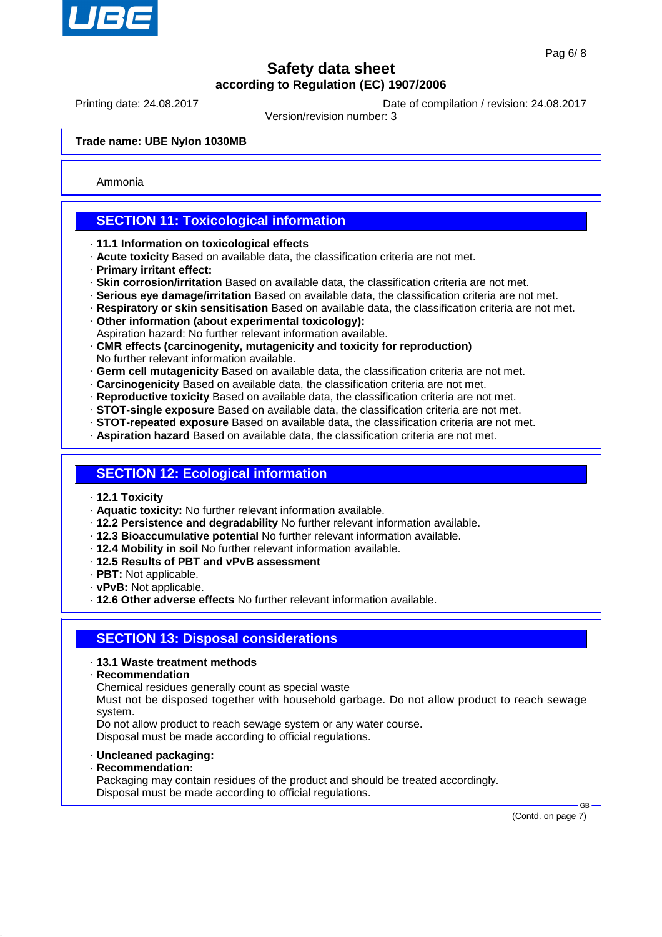

Printing date: 24.08.2017 Date of compilation / revision: 24.08.2017

Version/revision number: 3

#### **Trade name: UBE Nylon 1030MB**

Ammonia

## **SECTION 11: Toxicological information**

- · **11.1 Information on toxicological effects**
- · **Acute toxicity** Based on available data, the classification criteria are not met.
- · **Primary irritant effect:**
- · **Skin corrosion/irritation** Based on available data, the classification criteria are not met.
- · **Serious eye damage/irritation** Based on available data, the classification criteria are not met.
- · **Respiratory or skin sensitisation** Based on available data, the classification criteria are not met.
- · **Other information (about experimental toxicology):**
- Aspiration hazard: No further relevant information available.
- · **CMR effects (carcinogenity, mutagenicity and toxicity for reproduction)** No further relevant information available.
- · **Germ cell mutagenicity** Based on available data, the classification criteria are not met.
- · **Carcinogenicity** Based on available data, the classification criteria are not met.
- · **Reproductive toxicity** Based on available data, the classification criteria are not met.
- · **STOT-single exposure** Based on available data, the classification criteria are not met.
- · **STOT-repeated exposure** Based on available data, the classification criteria are not met.
- · **Aspiration hazard** Based on available data, the classification criteria are not met.

### **SECTION 12: Ecological information**

- · **12.1 Toxicity**
- · **Aquatic toxicity:** No further relevant information available.
- · **12.2 Persistence and degradability** No further relevant information available.
- · **12.3 Bioaccumulative potential** No further relevant information available.
- · **12.4 Mobility in soil** No further relevant information available.
- · **12.5 Results of PBT and vPvB assessment**
- · **PBT:** Not applicable.
- · **vPvB:** Not applicable.
- · **12.6 Other adverse effects** No further relevant information available.

#### **SECTION 13: Disposal considerations**

#### · **13.1 Waste treatment methods**

· **Recommendation**

Chemical residues generally count as special waste

Must not be disposed together with household garbage. Do not allow product to reach sewage system.

Do not allow product to reach sewage system or any water course. Disposal must be made according to official regulations.

· **Uncleaned packaging:**

· **Recommendation:**

Packaging may contain residues of the product and should be treated accordingly. Disposal must be made according to official regulations.

(Contd. on page 7)

 $\sim$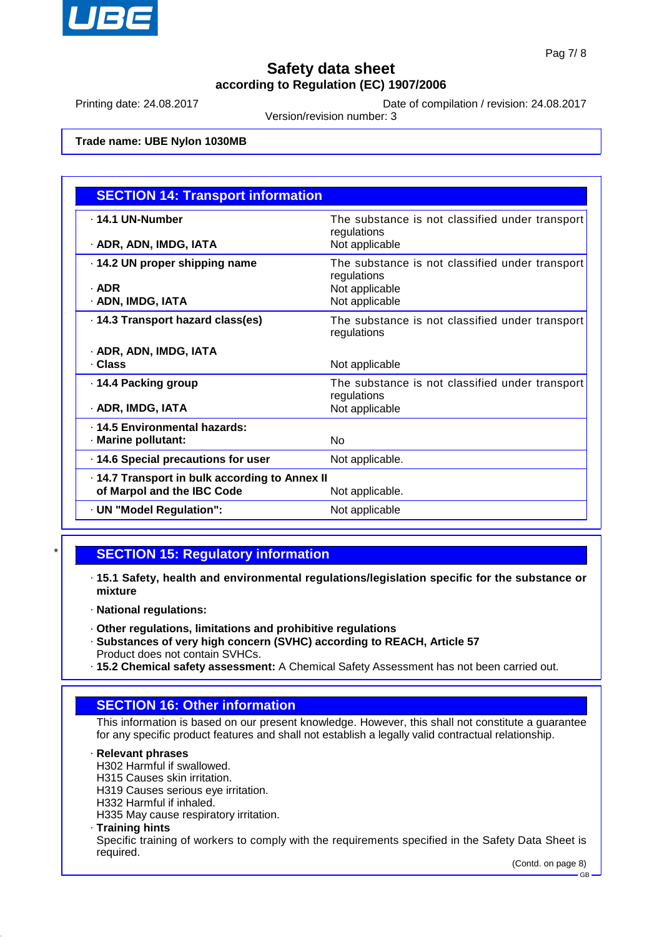

Printing date: 24.08.2017 Date of compilation / revision: 24.08.2017

Version/revision number: 3

#### **Trade name: UBE Nylon 1030MB**

| <b>SECTION 14: Transport information</b>                                     |                                                                                                    |
|------------------------------------------------------------------------------|----------------------------------------------------------------------------------------------------|
| . 14.1 UN-Number<br>· ADR, ADN, IMDG, IATA                                   | The substance is not classified under transport<br>regulations<br>Not applicable                   |
| 14.2 UN proper shipping name<br>· ADR<br>· ADN, IMDG, IATA                   | The substance is not classified under transport<br>regulations<br>Not applicable<br>Not applicable |
| . 14.3 Transport hazard class(es)                                            | The substance is not classified under transport<br>regulations                                     |
| · ADR, ADN, IMDG, IATA<br>· Class                                            | Not applicable                                                                                     |
| · 14.4 Packing group<br>· ADR, IMDG, IATA                                    | The substance is not classified under transport<br>regulations<br>Not applicable                   |
| . 14.5 Environmental hazards:<br>· Marine pollutant:                         | No                                                                                                 |
| · 14.6 Special precautions for user                                          | Not applicable.                                                                                    |
| · 14.7 Transport in bulk according to Annex II<br>of Marpol and the IBC Code | Not applicable.                                                                                    |
| · UN "Model Regulation":                                                     | Not applicable                                                                                     |

### **SECTION 15: Regulatory information**

- · **15.1 Safety, health and environmental regulations/legislation specific for the substance or mixture**
- · **National regulations:**
- · **Other regulations, limitations and prohibitive regulations**
- · **Substances of very high concern (SVHC) according to REACH, Article 57** Product does not contain SVHCs.
- · **15.2 Chemical safety assessment:** A Chemical Safety Assessment has not been carried out.

## **SECTION 16: Other information**

This information is based on our present knowledge. However, this shall not constitute a guarantee for any specific product features and shall not establish a legally valid contractual relationship.

#### · **Relevant phrases**

H302 Harmful if swallowed.

- H315 Causes skin irritation.
- H319 Causes serious eye irritation.
- H332 Harmful if inhaled.

H335 May cause respiratory irritation.

#### · **Training hints**

Specific training of workers to comply with the requirements specified in the Safety Data Sheet is required.

(Contd. on page 8)

GB